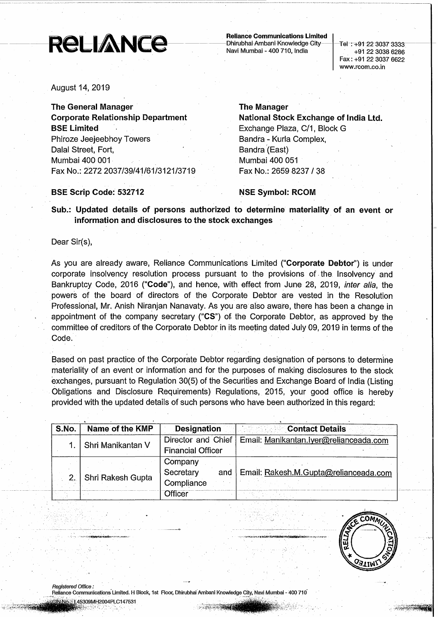# Reliance Communications Limited |<br>Navi Mumbai - 400 710, India 1. - +91-22-3037-3333<br>+91-22-3038 6286

Fax: +91 22 3037 6622 www.rcom.co.in

August 14) 2019

The General Manager Corporate Relationship Department **BSE Limited** Phiroze Jeejeebhoy Towers Dalal Street, Fort, Mumbai 400 001 ' Fax No.: 2272 2037/39/41/61/3121/3719

### The Manager

National Stock Exchange of India Ltd. Exchange Plaza, C/1, Block G Bandra - Kurla Complex, Bandra (East) Mumbai 400 051 Fax No.: 2659 8237 / 38

### **BSE Scrip Code: 532712** NSE Symbol: RCOM

Sub.: Updated details of persons authorized to determine materiality of an event or information and disclosures to the stock exchanges

Dear Sir(s),

As you are already aware, Reliance Communications Limited ("**Corporate Debtor**") is under corporate insolvency resolution process pursuant to the provisions of. the Insolvency and Bankruptcy Code, 2016 ("**Code**"), and hence, with effect from June 28, 2019, *inter alia*, the powers of the board of directors of the Corporate Debtor are vested in the Resolution Professional, Mr. Anish Niranjan Nanavaty. As you are also aware, there has been a change in appointment of the company secretary ("CS") of the Corporate Debtor, as approved by the committee of creditors of the Corporate Debtor in its meeting dated July 09, 2019 in terms of the Code.

Based on past practice of the Corporate Debtor regarding designation of persons to determine materiality of an event or information and for the purposes of making disclosures to the stock exchanges, pursuant to Regulation 30(5) of the Securities and Exchange Board of India (Listing Obligations and Disclosure Requirements) Regulations, 2015) your good office is hereby provided with the updated details of such persons who have been authorized in this regard:

| S.No. | Name of the KMP   | <b>Designation</b>                             | <b>Contact Details</b>                 |
|-------|-------------------|------------------------------------------------|----------------------------------------|
|       | Shri Manikantan V | Director and Chief<br><b>Financial Officer</b> | Email: Manikantan.lyer@relianceada.com |
|       |                   | Company                                        |                                        |
|       | Shri Rakesh Gupta | Secretary<br>and<br>Compliance                 | Email: Rakesh.M.Gupta@relianceada.com  |
|       |                   | Officer                                        |                                        |

COM. SATIM

~': \*\*\*\*\*\*\*\*\*\*\*\*\*